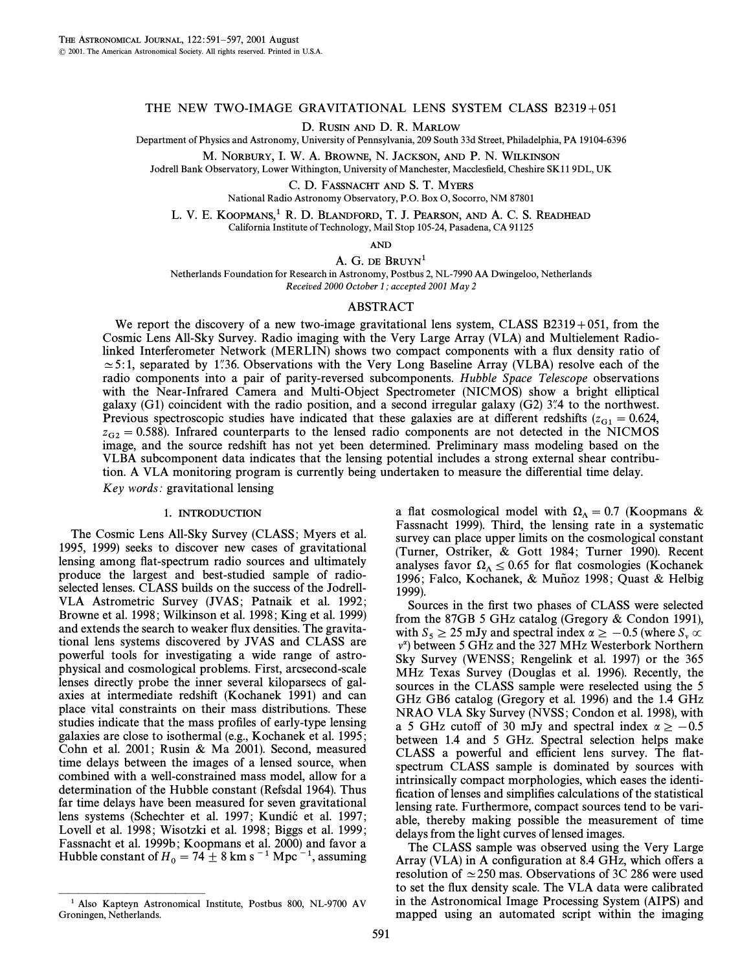# THE NEW TWO-IMAGE GRAVITATIONAL LENS SYSTEM CLASS B2319+051

D. RUSIN AND D. R. MARLOW

Department of Physics and Astronomy, University of Pennsylvania, 209 South 33d Street, Philadelphia, PA 19104-6396

M. NORBURY, I. W. A. BROWNE, N. JACKSON, AND P. N. WILKINSON

Jodrell Bank Observatory, Lower Withington, University of Manchester, Macclesfield, Cheshire SK11 9DL, UK

C. D. FASSNACHT AND S. T. MYERS

National Radio Astronomy Observatory, P.O. Box O, Socorro, NM 87801

L. V. E. KOOPMANS,<sup>1</sup> R. D. BLANDFORD, T. J. PEARSON, AND A. C. S. READHEAD California Institute of Technology, Mail Stop 105-24, Pasadena, CA 91125

AND

A. G. DE BRUYN<sup>1</sup>

Netherlands Foundation for Research in Astronomy, Postbus 2, NL-7990 AA Dwingeloo, Netherlands Received 2000 October 1; accepted 2001 May 2

## ABSTRACT

We report the discovery of a new two-image gravitational lens system, CLASS  $B2319+051$ , from the Cosmic Lens All-Sky Survey. Radio imaging with the Very Large Array (VLA) and Multielement Radiolinked Interferometer Network (MERLIN) shows two compact components with a flux density ratio of  $\approx$  5:1, separated by 1.36. Observations with the Very Long Baseline Array (VLBA) resolve each of the radio components into a pair of parity-reversed subcomponents. Hubble Space Telescope observations with the Near-Infrared Camera and Multi-Object Spectrometer (NICMOS) show a bright elliptical galaxy  $(G1)$  coincident with the radio position, and a second irregular galaxy  $(G2)$  3.4 to the northwest. Previous spectroscopic studies have indicated that these galaxies are at different redshifts  $(z_{G1} = 0.624, z_{G1} = 0.624, z_{G2} = 0.624)$  $z_{0.2} = 0.588$ ). Infrared counterparts to the lensed radio components are not detected in the NICMOS image, and the source redshift has not yet been determined. Preliminary mass modeling based on the VLBA subcomponent data indicates that the lensing potential includes a strong external shear contribution. A VLA monitoring program is currently being undertaken to measure the differential time delay. Key words: gravitational lensing

# 1. INTRODUCTION

The Cosmic Lens All-Sky Survey (CLASS; Myers et al. 1995, 1999) seeks to discover new cases of gravitational lensing among flat-spectrum radio sources and ultimately produce the largest and best-studied sample of radioselected lenses. CLASS builds on the success of the Jodrell-VLA Astrometric Survey (JVAS; Patnaik et al. 1992; Browne et al. 1998; Wilkinson et al. 1998; King et al. 1999) and extends the search to weaker flux densities. The gravitational lens systems discovered by JVAS and CLASS are powerful tools for investigating a wide range of astrophysical and cosmological problems. First, arcsecond-scale lenses directly probe the inner several kiloparsecs of galaxies at intermediate redshift (Kochanek 1991) and can place vital constraints on their mass distributions. These studies indicate that the mass profiles of early-type lensing galaxies are close to isothermal (e.g., Kochanek et al. 1995 ; Cohn et al.  $2001$ ; Rusin & Ma  $2001$ ). Second, measured time delays between the images of a lensed source, when combined with a well-constrained mass model, allow for a determination of the Hubble constant (Refsdal 1964). Thus far time delays have been measured for seven gravitational lens systems (Schechter et al. 1997; Kundić et al. 1997; Lovell et al. 1998; Wisotzki et al. 1998; Biggs et al. 1999; Fassnacht et al. 1999b ; Koopmans et al. 2000) and favor a Hubble constant of  $H_0 = 74 \pm 8$  km s <sup>-1</sup> Mpc<sup>-1</sup>, assuming a flat cosmological model with  $\Omega_{\Lambda} = 0.7$  (Koopmans & Fassnacht 1999). Third, the lensing rate in a systematic survey can place upper limits on the cosmological constant (Turner, Ostriker, & Gott 1984; Turner 1990). Recent analyses favor  $\Omega_{\Lambda} \leq 0.65$  for flat cosmologies (Kochanek 1996; Falco, Kochanek, & Muñoz 1998; Quast & Helbig 1999).

Sources in the first two phases of CLASS were selected from the 87GB 5 GHz catalog (Gregory & Condon 1991), with  $S_5 \ge 25$  mJy and spectral index  $\alpha \ge -0.5$  (where  $S_v \propto v^{\alpha}$ ) between 5 GHz and the 327 MHz Westerbork Northern with  $3\frac{1}{5}$  and  $\frac{1}{2}$  between 5 GHz and the 327 MHz Westerbork Northern Sky Survey (WENSS; Rengelink et al. 1997) or the 365 MHz Texas Survey (Douglas et al. 1996). Recently, the sources in the CLASS sample were reselected using the 5 GHz GB6 catalog (Gregory et al. 1996) and the 1.4 GHz NRAO VLA Sky Survey (NVSS; Condon et al. 1998), with a 5 GHz cutoff of 30 mJy and spectral index  $\alpha \ge -0.5$ between 1.4 and 5 GHz. Spectral selection helps make CLASS a powerful and efficient lens survey. The Ñatspectrum CLASS sample is dominated by sources with intrinsically compact morphologies, which eases the identification of lenses and simplifies calculations of the statistical lensing rate. Furthermore, compact sources tend to be variable, thereby making possible the measurement of time delays from the light curves of lensed images.

The CLASS sample was observed using the Very Large Array (VLA) in A configuration at 8.4 GHz, which offers a resolution of  $\simeq$  250 mas. Observations of 3C 286 were used to set the flux density scale. The VLA data were calibrated in the Astronomical Image Processing System (AIPS) and mapped using an automated script within the imaging

ÈÈÈÈÈÈÈÈÈÈÈÈÈÈÈ <sup>1</sup> Also Kapteyn Astronomical Institute, Postbus 800, NL-9700 AV Groningen, Netherlands.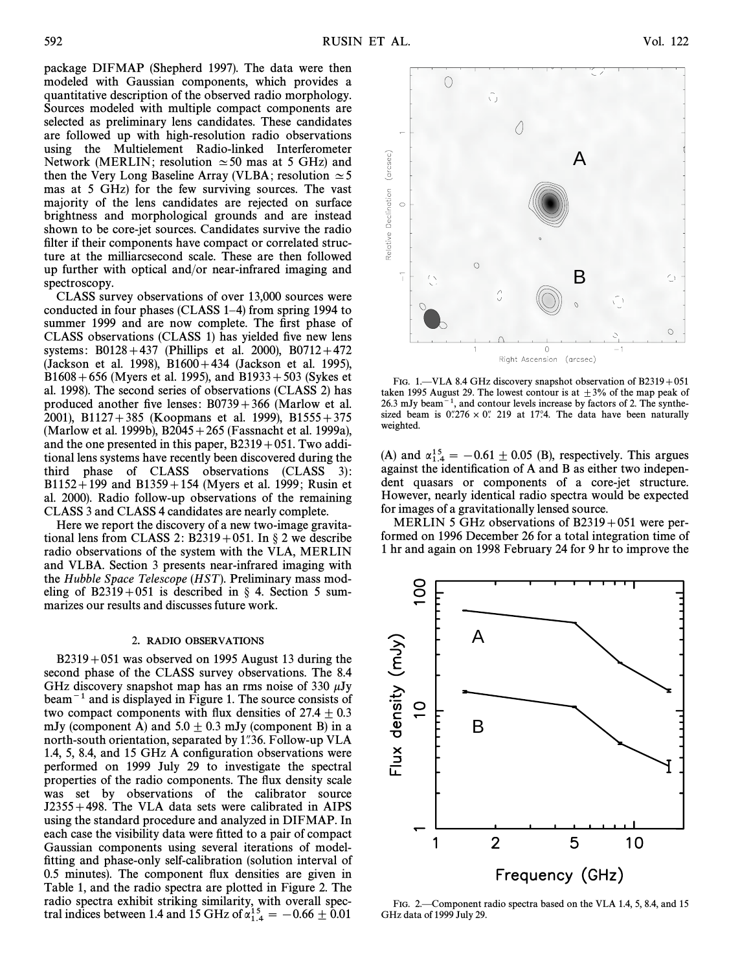package DIFMAP (Shepherd 1997). The data were then modeled with Gaussian components, which provides a quantitative description of the observed radio morphology. Sources modeled with multiple compact components are selected as preliminary lens candidates. These candidates are followed up with high-resolution radio observations using the Multielement Radio-linked Interferometer Network (MERLIN; resolution  $\simeq$  50 mas at 5 GHz) and then the Very Long Baseline Array (VLBA; resolution  $\simeq$  5 mas at 5 GHz) for the few surviving sources. The vast majority of the lens candidates are rejected on surface brightness and morphological grounds and are instead shown to be core-jet sources. Candidates survive the radio filter if their components have compact or correlated structure at the milliarcsecond scale. These are then followed up further with optical and/or near-infrared imaging and spectroscopy.

CLASS survey observations of over 13,000 sources were conducted in four phases (CLASS  $1-4$ ) from spring 1994 to summer 1999 and are now complete. The first phase of CLASS observations (CLASS 1) has yielded five new lens systems:  $B0128 + 437$  (Phillips et al. 2000),  $B0712 + 472$ (Jackson et al. 1998),  $B1600 + 434$  (Jackson et al. 1995), B1608 + 656 (Myers et al. 1995), and B1933 + 503 (Sykes et al. 1998). The second series of observations (CLASS 2) has produced another five lenses:  $B0739 + 366$  (Marlow et al. 2001), B1127+385 (Koopmans et al. 1999), B1555+375 (Marlow et al. 1999b), B2045 + 265 (Fassnacht et al. 1999a), and the one presented in this paper,  $B2319+051$ . Two additional lens systems have recently been discovered during the third phase of CLASS observations (CLASS 3):  $B1152+199$  and  $B1359+154$  (Myers et al. 1999; Rusin et al. 2000). Radio follow-up observations of the remaining CLASS 3 and CLASS 4 candidates are nearly complete.

Here we report the discovery of a new two-image gravitational lens from CLASS 2: B2319+051. In  $\S$  2 we describe radio observations of the system with the VLA, MERLIN and VLBA. Section 3 presents near-infrared imaging with the Hubble Space Telescope (HST). Preliminary mass modeling of B2319+051 is described in  $\S$  4. Section 5 summarizes our results and discusses future work.

# 2. RADIO OBSERVATIONS

 $B2319+051$  was observed on 1995 August 13 during the second phase of the CLASS survey observations. The 8.4 GHz discovery snapshot map has an rms noise of 330  $\mu$ Jy  $beam^{-1}$  and is displayed in Figure 1. The source consists of two compact components with flux densities of  $27.4 \pm 0.3$ mJy (component A) and  $5.0 \pm 0.3$  mJy (component B) in a north-south orientation, separated by 1.36. Follow-up VLA. 1.4, 5, 8.4, and 15 GHz A configuration observations were performed on 1999 July 29 to investigate the spectral properties of the radio components. The flux density scale was set by observations of the calibrator source  $J2355+498$ . The VLA data sets were calibrated in AIPS using the standard procedure and analyzed in DIFMAP. In each case the visibility data were fitted to a pair of compact Gaussian components using several iterations of modelfitting and phase-only self-calibration (solution interval of 0.5 minutes). The component Ñux densities are given in Table 1, and the radio spectra are plotted in Figure 2. The radio spectra exhibit striking similarity, with overall spectral indices between 1.4 and 15 GHz of  $\alpha_{1.4}^{1.5} = -0.66 \pm 0.01$ 

FIG. 1.—VLA 8.4 GHz discovery snapshot observation of B2319 + 051 taken 1995 August 29. The lowest contour is at  $\pm$ 3% of the map peak of  $26.3$  mJy beam<sup> $-1$ </sup>, and contour levels increase by factors of 2. The synthesized beam is  $0\degree 276 \times 0\degree 219$  at 17°.4. The data have been naturally weighted.

(A) and  $\alpha_{1.4}^{1.5} = -0.61 \pm 0.05$  (B), respectively. This argues against the identification of A and B as either two independent against the identification of A and B as either two independent quasars or components of a core-jet structure. However, nearly identical radio spectra would be expected for images of a gravitationally lensed source.

MERLIN 5 GHz observations of  $B2319+051$  were performed on 1996 December 26 for a total integration time of 1 hr and again on 1998 February 24 for 9 hr to improve the



FIG. 2.—Component radio spectra based on the VLA 1.4, 5, 8.4, and 15 GHz data of 1999 July 29.

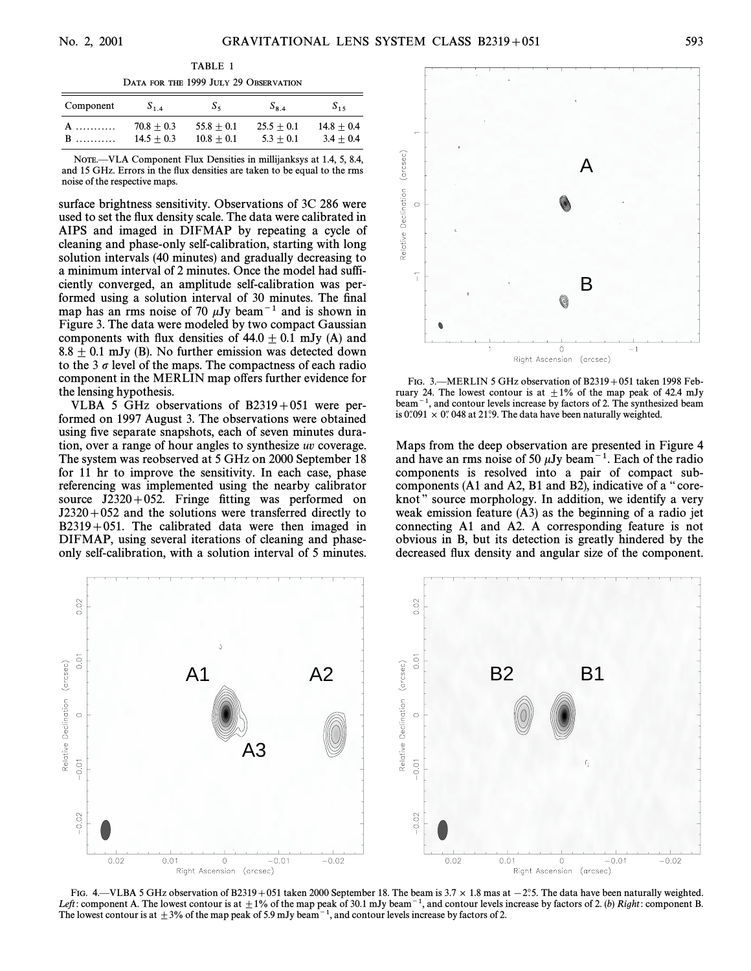TABLE 1 DATA FOR THE 1999 JULY 29 OBSERVATION

| Component | $S_{1.4}$    | $S_{\leq}$   | $S_{8.4}$    | $S_{15}$     |
|-----------|--------------|--------------|--------------|--------------|
| A         | $70.8 + 0.3$ | $55.8 + 0.1$ | $25.5 + 0.1$ | $14.8 + 0.4$ |
| $B$       | $14.5 + 0.3$ | $10.8 + 0.1$ | $5.3 + 0.1$  | $3.4 + 0.4$  |

NOTE.—VLA Component Flux Densities in millijanksys at 1.4, 5, 8.4, and 15 GHz. Errors in the flux densities are taken to be equal to the rms noise of the respective maps.

surface brightness sensitivity. Observations of 3C 286 were used to set the flux density scale. The data were calibrated in AIPS and imaged in DIFMAP by repeating a cycle of cleaning and phase-only self-calibration, starting with long solution intervals (40 minutes) and gradually decreasing to a minimum interval of 2 minutes. Once the model had sufficiently converged, an amplitude self-calibration was performed using a solution interval of 30 minutes. The final map has an rms noise of 70  $\mu$ Jy beam<sup>-1</sup> and is shown in Figure 3. The data were modeled by two compact Gaussian components with flux densities of  $44.0 \pm 0.1$  mJy (A) and  $8.8 \pm 0.1$  mJy (B). No further emission was detected down to the 3  $\sigma$  level of the maps. The compactness of each radio component in the MERLIN map offers further evidence for the lensing hypothesis.

VLBA 5 GHz observations of  $B2319+051$  were performed on 1997 August 3. The observations were obtained using five separate snapshots, each of seven minutes duration, over a range of hour angles to synthesize uv coverage. The system was reobserved at 5 GHz on 2000 September 18 for 11 hr to improve the sensitivity. In each case, phase referencing was implemented using the nearby calibrator source  $J2320+052$ . Fringe fitting was performed on  $J2320+052$  and the solutions were transferred directly to  $B2319+051$ . The calibrated data were then imaged in DIFMAP, using several iterations of cleaning and phaseonly self-calibration, with a solution interval of 5 minutes.



FIG. 3. ALERLIN 5 GHz observation of B2319 + 051 taken 1998 February 24. The lowest contour is at  $\pm 1\%$  of the map peak of 42.4 mJy beam<sup> $-1$ </sup>, and contour levels increase by factors of 2. The synthesized beam is 0.7091  $\times$  0.7048 at 21°.9. The data have been naturally weighted.

Maps from the deep observation are presented in Figure 4 and have an rms noise of 50  $\mu$ Jy beam<sup>-1</sup>. Each of the radio components is resolved into a pair of compact subcomponents (A1 and A2, B1 and B2), indicative of a "coreknot" source morphology. In addition, we identify a very weak emission feature (A3) as the beginning of a radio jet connecting A1 and A2. A corresponding feature is not obvious in B, but its detection is greatly hindered by the decreased flux density and angular size of the component.



FIG. 4—VLBA 5 GHz observation of B2319+051 taken 2000 September 18. The beam is 3.7  $\times$  1.8 mas at  $-2$ °.5. The data have been naturally weighted. Left: component A. The lowest contour is at  $\pm 1$ % of the map peak of 30.1 mJy beam<sup>-1</sup>, and contour levels increase by factors of 2. (b) Right: component B. The lowest contour is at  $\pm 3\%$  of the map peak of 5.9 mJy beam<sup>-1</sup>, and contour levels increase by factors of 2.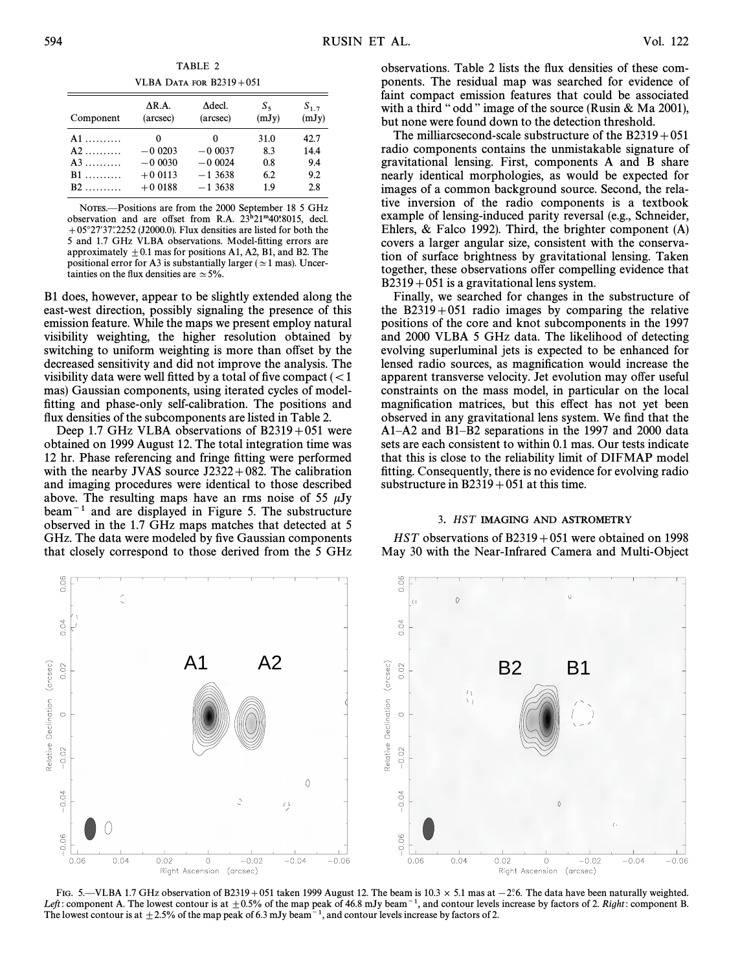| Component | $\Delta$ R.A.<br>(arcsec) | $\Delta$ decl.<br>(arcsec) | $S_{\leq}$<br>(mJy) | $S_{1,7}$<br>(mJy) |
|-----------|---------------------------|----------------------------|---------------------|--------------------|
| $A1$      | 0                         | $_{0}$                     | 31.0                | 42.7               |
| $A2$      | $-0.0203$                 | $-0.0037$                  | 8.3                 | 14.4               |
| $A3$      | $-0.0030$                 | $-0.0024$                  | 0.8                 | 9.4                |
| $B1$      | $+0.0113$                 | $-1,3638$                  | 6.2                 | 9.2                |
| $B2$      | $+0.0188$                 | $-1,3638$                  | 1.9                 | 2.8                |

TABLE 2 VLBA DATA FOR  $B2319+051$ 

NOTES.—Positions are from the 2000 September 18 5 GHz observation and are offset from R.A.  $23<sup>h</sup>21<sup>m</sup>40<sup>s</sup>8015$ , decl.  $+05^{\circ}27'37''2252$  (J2000.0). Flux densities are listed for both the 5 and 1.7 GHz VLBA observations. Model-fitting errors are approximately  $\pm$  0.1 mas for positions A1, A2, B1, and B2. The positional error for A3 is substantially larger ( $\simeq$ 1 mas). Uncertainties on the flux densities are  $\simeq$  5%.

B1 does, however, appear to be slightly extended along the east-west direction, possibly signaling the presence of this emission feature. While the maps we present employ natural visibility weighting, the higher resolution obtained by switching to uniform weighting is more than offset by the decreased sensitivity and did not improve the analysis. The visibility data were well fitted by a total of five compact  $\left(\langle 1 \rangle \right)$ mas) Gaussian components, using iterated cycles of modelfitting and phase-only self-calibration. The positions and flux densities of the subcomponents are listed in Table 2.

Deep 1.7 GHz VLBA observations of  $B2319+051$  were obtained on 1999 August 12. The total integration time was 12 hr. Phase referencing and fringe fitting were performed with the nearby JVAS source  $J2322+082$ . The calibration and imaging procedures were identical to those described above. The resulting maps have an rms noise of 55  $\mu$ Jy  $beam^{-1}$  and are displayed in Figure 5. The substructure observed in the 1.7 GHz maps matches that detected at 5 GHz. The data were modeled by five Gaussian components that closely correspond to those derived from the 5 GHz

observations. Table 2 lists the Ñux densities of these components. The residual map was searched for evidence of faint compact emission features that could be associated with a third "odd" image of the source (Rusin & Ma 2001), but none were found down to the detection threshold.

The milliarcsecond-scale substructure of the  $B2319+051$ radio components contains the unmistakable signature of gravitational lensing. First, components A and B share nearly identical morphologies, as would be expected for images of a common background source. Second, the relative inversion of the radio components is a textbook example of lensing-induced parity reversal (e.g., Schneider, Ehlers, & Falco 1992). Third, the brighter component (A) covers a larger angular size, consistent with the conservation of surface brightness by gravitational lensing. Taken together, these observations offer compelling evidence that  $B2319+051$  is a gravitational lens system.

Finally, we searched for changes in the substructure of the B2319+051 radio images by comparing the relative positions of the core and knot subcomponents in the 1997 and 2000 VLBA 5 GHz data. The likelihood of detecting evolving superluminal jets is expected to be enhanced for lensed radio sources, as magnification would increase the apparent transverse velocity. Jet evolution may offer useful constraints on the mass model, in particular on the local magnification matrices, but this effect has not yet been observed in any gravitational lens system. We find that the A1 $-A2$  and B1 $-B2$  separations in the 1997 and 2000 data sets are each consistent to within 0.1 mas. Our tests indicate that this is close to the reliability limit of DIFMAP model fitting. Consequently, there is no evidence for evolving radio substructure in  $B2319+051$  at this time.

#### 3. HST IMAGING AND ASTROMETRY

HST observations of B2319+051 were obtained on 1998 May 30 with the Near-Infrared Camera and Multi-Object



FIG. 5.—VLBA 1.7 GHz observation of B2319+051 taken 1999 August 12. The beam is  $10.3 \times 5.1$  mas at  $-2$ °.6. The data have been naturally weighted. Left: component A. The lowest contour is at  $\pm 0.5\%$  of the map peak of 46.8 mJy beam<sup>-1</sup>, and contour levels increase by factors of 2. Right: component B. The lowest contour is at  $\pm 2.5\%$  of the map peak of 6.3 mJy beam<sup>-1</sup>, and contour levels increase by factors of 2.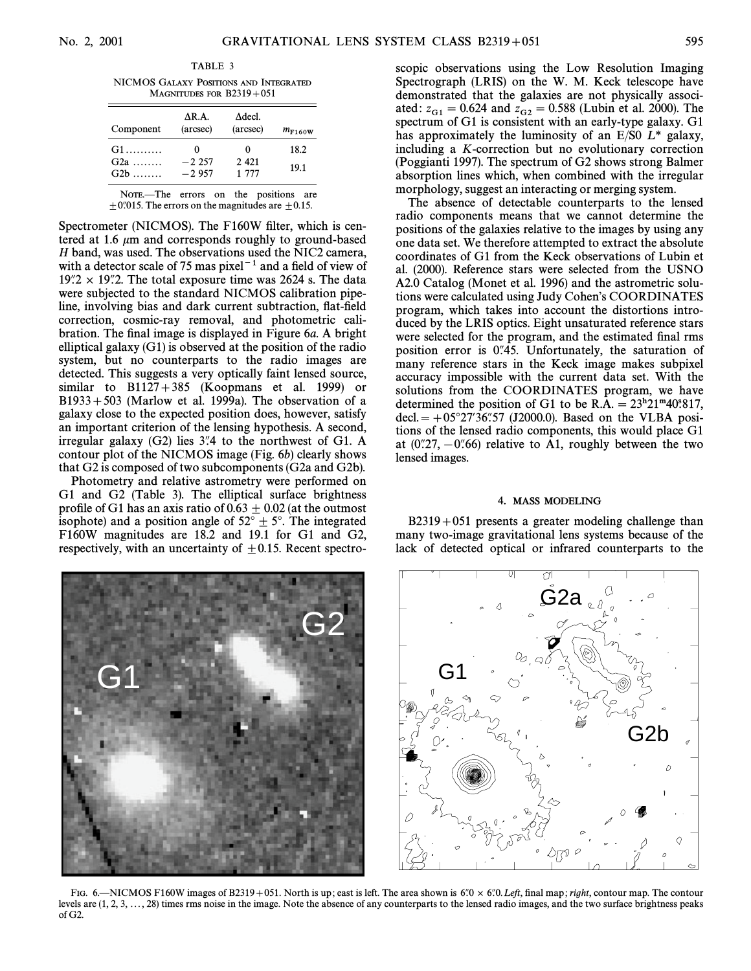TABLE 3

NICMOS GALAXY POSITIONS AND INTEGRATED MAGNITUDES FOR  $B2319+051$ 

| Component       | AR.A.<br>(arcsec) | Adecl.<br>(arcsec) | $m_{\rm F160W}$ |
|-----------------|-------------------|--------------------|-----------------|
| $G1$            | $_{0}$            | 0                  | 18.2            |
| G <sub>2a</sub> | $-2.257$          | 2 4 2 1            | 19.1            |
| $G2b$           | $-2957$           | 1 777              |                 |

NOTE. The errors on the positions are  $\pm$ 0.7015. The errors on the magnitudes are  $\pm$ 0.15.

Spectrometer (NICMOS). The F160W filter, which is centered at 1.6  $\mu$ m and corresponds roughly to ground-based H band, was used. The observations used the NIC2 camera, with a detector scale of 75 mas pixel<sup> $-1$ </sup> and a field of view of  $19\%2 \times 19\%2$ . The total exposure time was 2624 s. The data were subjected to the standard NICMOS calibration pipeline, involving bias and dark current subtraction, flat-field correction, cosmic-ray removal, and photometric calibration. The final image is displayed in Figure 6a. A bright elliptical galaxy (G1) is observed at the position of the radio system, but no counterparts to the radio images are detected. This suggests a very optically faint lensed source, similar to  $B1127+385$  (Koopmans et al. 1999) or  $B1933+503$  (Marlow et al. 1999a). The observation of a galaxy close to the expected position does, however, satisfy an important criterion of the lensing hypothesis. A second, irregular galaxy  $(G2)$  lies  $3\rlap{.}^\prime 4$  to the northwest of G1. A contour plot of the NICMOS image (Fig. 6b) clearly shows that G2 is composed of two subcomponents (G2a and G2b).

Photometry and relative astrometry were performed on G1 and G2 (Table 3). The elliptical surface brightness profile of G1 has an axis ratio of  $0.63 \pm 0.02$  (at the outmost isophote) and a position angle of  $52^{\circ} \pm 5^{\circ}$ . The integrated F160W magnitudes are 18.2 and 19.1 for G1 and G2, respectively, with an uncertainty of  $\pm 0.15$ . Recent spectro-



scopic observations using the Low Resolution Imaging Spectrograph (LRIS) on the W. M. Keck telescope have demonstrated that the galaxies are not physically associated:  $z_{G1} = 0.624$  and  $z_{G2} = 0.588$  (Lubin et al. 2000). The spectrum of G1 is consistent with an early-type galaxy. G1 spectrum of G1 is consistent with an early-type galaxy. G1 has approximately the luminosity of an  $E/S0$   $L^*$  galaxy, including a K-correction but no evolutionary correction (Poggianti 1997). The spectrum of G2 shows strong Balmer absorption lines which, when combined with the irregular morphology, suggest an interacting or merging system.

The absence of detectable counterparts to the lensed radio components means that we cannot determine the positions of the galaxies relative to the images by using any one data set. We therefore attempted to extract the absolute coordinates of G1 from the Keck observations of Lubin et al. (2000). Reference stars were selected from the USNO A2.0 Catalog (Monet et al. 1996) and the astrometric solutions were calculated using Judy Cohen's COORDINATES program, which takes into account the distortions introduced by the LRIS optics. Eight unsaturated reference stars were selected for the program, and the estimated final rms position error is  $0$ .45. Unfortunately, the saturation of many reference stars in the Keck image makes subpixel accuracy impossible with the current data set. With the solutions from the COORDINATES program, we have determined the position of G1 to be R.A.  $= 23<sup>h</sup>21<sup>m</sup>40<sup>s</sup>.817$ , decl.  $= +05°27'36''57$  (J2000.0). Based on the VLBA positions of the lensed radio components, this would place G1 at  $(0.27, -0.66)$  relative to A1, roughly between the two lensed images.

## 4. MASS MODELING

 $B2319+051$  presents a greater modeling challenge than many two-image gravitational lens systems because of the lack of detected optical or infrared counterparts to the



FIG. 6—NICMOS F160W images of B2319+051. North is up; east is left. The area shown is 6<sup>n</sup>.0  $\times$  6<sup>n</sup>.0. Left, final map; *right*, contour map. The contour levels are (1, 2, 3, . . . , 28) times rms noise in the image. Note the absence of any counterparts to the lensed radio images, and the two surface brightness peaks of G2.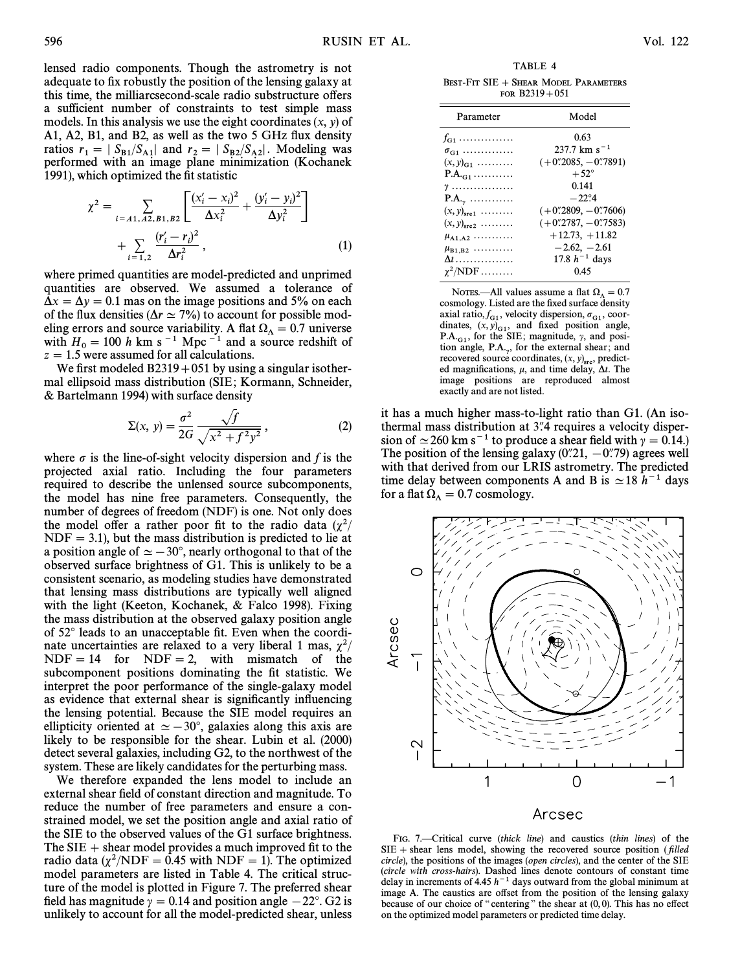lensed radio components. Though the astrometry is not adequate to fix robustly the position of the lensing galaxy at this time, the milliarcsecond-scale radio substructure offers a sufficient number of constraints to test simple mass models. In this analysis we use the eight coordinates  $(x, y)$  of A1, A2, B1, and B2, as well as the two 5 GHz flux density ratios  $r_1 = |S_{B1}/S_{A1}|$  and  $r_2 = |S_{B2}/S_{A2}|$ . Modeling was<br>performed with an image plane minimization (Kochanek performed with an image plane minimization (Kochanek

1991), which optimized the fit statistic  
\n
$$
\chi^{2} = \sum_{i=A1, A2, B1, B2} \left[ \frac{(x'_{i} - x_{i})^{2}}{\Delta x_{i}^{2}} + \frac{(y'_{i} - y_{i})^{2}}{\Delta y_{i}^{2}} \right] + \sum_{i=1, 2} \frac{(r'_{i} - r_{i})^{2}}{\Delta r_{i}^{2}},
$$
\n(1)

where primed quantities are model-predicted and unprimed quantities are observed. We assumed a tolerance of  $\Delta x = \Delta y = 0.1$  mas on the image positions and 5% on each of the flux densities ( $\Delta r \simeq 7\%$ ) to account for possible modeling errors and source variability. A flat  $\Omega_{\Lambda} = 0.7$  universe<br>with  $H_{\text{I}} = 100 \, h \, \text{km s}^{-1}$  Mpc<sup>-1</sup> and a source redshift of with  $H_0 = 100 h \text{ km s}^{-1} \text{ Mpc}^{-1}$  and a source redshift of  $z = 1.5$  were assumed for all calculations  $z=1.5$  were assumed for all calculations.

We first modeled  $B2319+051$  by using a singular isothermal ellipsoid mass distribution (SIE ; Kormann, Schneider, & Bartelmann 1994) with surface density

$$
\Sigma(x, y) = \frac{\sigma^2}{2G} \frac{\sqrt{f}}{\sqrt{x^2 + f^2 y^2}},
$$
 (2)

where  $\sigma$  is the line-of-sight velocity dispersion and f is the projected axial ratio. Including the four parameters required to describe the unlensed source subcomponents, the model has nine free parameters. Consequently, the number of degrees of freedom (NDF) is one. Not only does the model offer a rather poor fit to the radio data  $(\chi^2)$  $NDF = 3.1$ , but the mass distribution is predicted to lie at a position angle of  $\simeq -30^{\circ}$ , nearly orthogonal to that of the observed surface brightness of G1. This is unlikely to be a consistent scenario, as modeling studies have demonstrated that lensing mass distributions are typically well aligned with the light (Keeton, Kochanek, & Falco 1998). Fixing the mass distribution at the observed galaxy position angle of 52° leads to an unacceptable fit. Even when the coordinate uncertainties are relaxed to a very liberal 1 mas,  $\chi^2$ /  $NDF = 14$  for  $NDF = 2$ , with mismatch of the subcomponent positions dominating the fit statistic. We interpret the poor performance of the single-galaxy model as evidence that external shear is significantly influencing the lensing potential. Because the SIE model requires an ellipticity oriented at  $\simeq -30^{\circ}$ , galaxies along this axis are likely to be responsible for the shear. Lubin et al. (2000) detect several galaxies, including G2, to the northwest of the system. These are likely candidates for the perturbing mass.

We therefore expanded the lens model to include an external shear field of constant direction and magnitude. To reduce the number of free parameters and ensure a constrained model, we set the position angle and axial ratio of the SIE to the observed values of the G1 surface brightness. The  $SIE$  + shear model provides a much improved fit to the radio data ( $\chi^2/NDF = 0.45$  with NDF = 1). The optimized model parameters are listed in Table 4. The critical structure of the model is plotted in Figure 7. The preferred shear field has magnitude  $\gamma = 0.14$  and position angle  $-22^\circ$ . G2 is unlikely to account for all the model-predicted shear, unless

TABLE 4

|  |                   | BEST-FIT SIE + SHEAR MODEL PARAMETERS |
|--|-------------------|---------------------------------------|
|  | FOR $B2319 + 051$ |                                       |

| Parameter                          | Model                                                |
|------------------------------------|------------------------------------------------------|
| $f_{\rm G1}$                       | 0.63                                                 |
| $\sigma_{G1}$                      | $237.7$ km s <sup>-1</sup>                           |
| $(x, y)_{G1} \ldots \ldots$        | $(+0\frac{0.2085}{0.0005}, -0\frac{0.7891}{0.0005})$ |
| $P.A._{G1}$                        | $+52^{\circ}$                                        |
| $\gamma$                           | 0.141                                                |
| $P.A., \ldots \ldots \ldots$       | $-22.3$                                              |
| $(x, y)_{\text{src1}} \dots \dots$ | $(+0\frac{\pi}{2809}, -0\frac{\pi}{606})$            |
| $(x, y)_{\text{src2}} \dots \dots$ | $(+0\frac{2787}{3}, -0\frac{27583}{3})$              |
| $\mu_{A1,A2}$                      | $+12.73, +11.82$                                     |
| $\mu_{B1,B2}$                      | $-2.62, -2.61$                                       |
| $\Delta t$                         | 17.8 $h^{-1}$ days                                   |
| $\chi^2/NDF$                       | 0.45                                                 |

NOTES.—All values assume a flat  $\Omega_{\Lambda} = 0.7$ cosmology. Listed are the fixed surface density axial ratio,  $f_{G_1}$ , velocity dispersion,  $\sigma_{G_1}$ , coor-<br>dinates  $(x, y)$  and fixed position, angle dinates,  $(x, y)_{G1}$ , and fixed position angle, P.A. $_{G1}$ , for the SIE; magnitude,  $\gamma$ , and position angle,  $P.A.,$  for the external shear; and  $P.A.,$  frequence coordinates  $(x, y)$ , predict recovered source coordinates,  $(x, y)_{\text{src}}$ , predicted magnifications,  $\mu$ , and time delay,  $\Delta t$ . The image positions are reproduced almost exactly and are not listed.

it has a much higher mass-to-light ratio than G1. (An isothermal mass distribution at 3.4 requires a velocity dispersion of  $\simeq$  260 km s<sup>-1</sup> to produce a shear field with  $\gamma = 0.14$ .) The position of the lensing galaxy  $(0.21, -0.79)$  agrees well with that derived from our LRIS astrometry. The predicted time delay between components A and B is  $\simeq$  18  $h^{-1}$  days for a flat  $\Omega_{\Lambda} = 0.7$  cosmology.



FIG. 7.—Critical curve (thick line) and caustics (thin lines) of the  $SIE + shear$  lens model, showing the recovered source position (*filled* circle), the positions of the images (open circles), and the center of the SIE (circle with cross-hairs). Dashed lines denote contours of constant time delay in increments of  $4.45 h^{-1}$  days outward from the global minimum at image A. The caustics are offset from the position of the lensing galaxy because of our choice of "centering" the shear at  $(0, 0)$ . This has no effect on the optimized model parameters or predicted time delay.